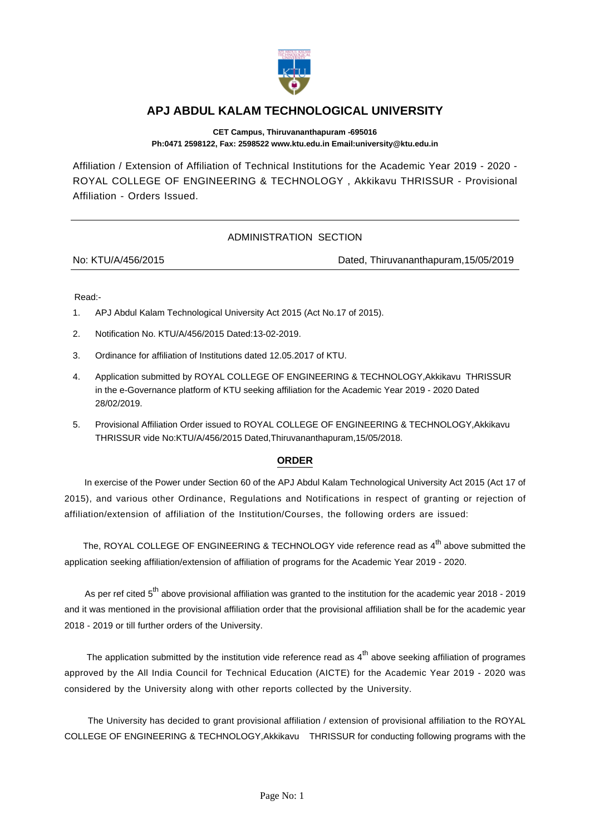

## **APJ ABDUL KALAM TECHNOLOGICAL UNIVERSITY**

**CET Campus, Thiruvananthapuram -695016 Ph:0471 2598122, Fax: 2598522 www.ktu.edu.in Email:university@ktu.edu.in**

Affiliation / Extension of Affiliation of Technical Institutions for the Academic Year 2019 - 2020 - ROYAL COLLEGE OF ENGINEERING & TECHNOLOGY , Akkikavu THRISSUR - Provisional Affiliation - Orders Issued.

## ADMINISTRATION SECTION

No: KTU/A/456/2015 Dated, Thiruvananthapuram,15/05/2019

Read:-

- 1. APJ Abdul Kalam Technological University Act 2015 (Act No.17 of 2015).
- 2. Notification No. KTU/A/456/2015 Dated:13-02-2019.
- 3. Ordinance for affiliation of Institutions dated 12.05.2017 of KTU.
- 4. Application submitted by ROYAL COLLEGE OF ENGINEERING & TECHNOLOGY,Akkikavu THRISSUR in the e-Governance platform of KTU seeking affiliation for the Academic Year 2019 - 2020 Dated 28/02/2019.
- 5. Provisional Affiliation Order issued to ROYAL COLLEGE OF ENGINEERING & TECHNOLOGY,Akkikavu THRISSUR vide No:KTU/A/456/2015 Dated,Thiruvananthapuram,15/05/2018.

## **ORDER**

 In exercise of the Power under Section 60 of the APJ Abdul Kalam Technological University Act 2015 (Act 17 of 2015), and various other Ordinance, Regulations and Notifications in respect of granting or rejection of affiliation/extension of affiliation of the Institution/Courses, the following orders are issued:

The, ROYAL COLLEGE OF ENGINEERING & TECHNOLOGY vide reference read as 4<sup>th</sup> above submitted the application seeking affiliation/extension of affiliation of programs for the Academic Year 2019 - 2020.

As per ref cited  $5^{th}$  above provisional affiliation was granted to the institution for the academic year 2018 - 2019 and it was mentioned in the provisional affiliation order that the provisional affiliation shall be for the academic year 2018 - 2019 or till further orders of the University.

The application submitted by the institution vide reference read as 4<sup>th</sup> above seeking affiliation of programes approved by the All India Council for Technical Education (AICTE) for the Academic Year 2019 - 2020 was considered by the University along with other reports collected by the University.

 The University has decided to grant provisional affiliation / extension of provisional affiliation to the ROYAL COLLEGE OF ENGINEERING & TECHNOLOGY,Akkikavu THRISSUR for conducting following programs with the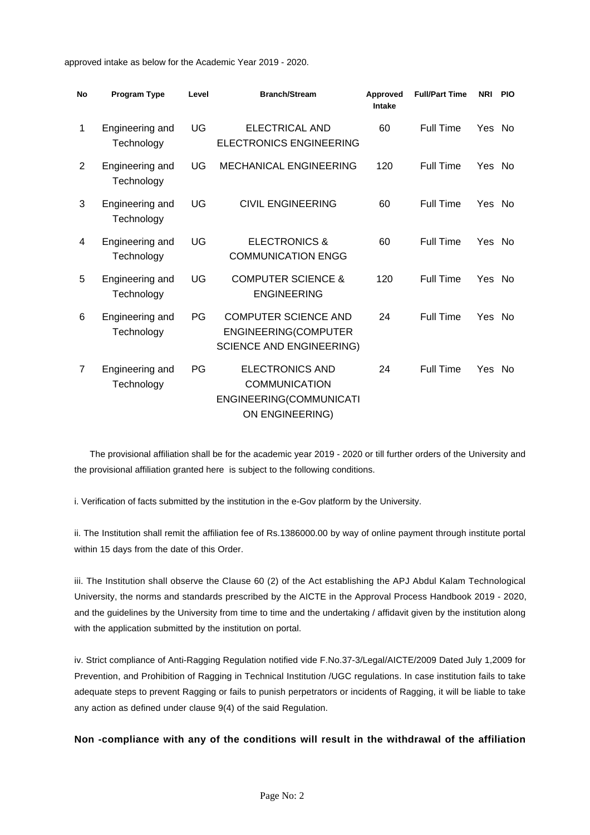approved intake as below for the Academic Year 2019 - 2020.

| <b>No</b>      | <b>Program Type</b>           | Level     | <b>Branch/Stream</b>                                                                         | Approved<br><b>Intake</b> | <b>Full/Part Time</b> | <b>NRI</b> | <b>PIO</b> |
|----------------|-------------------------------|-----------|----------------------------------------------------------------------------------------------|---------------------------|-----------------------|------------|------------|
| 1              | Engineering and<br>Technology | UG        | ELECTRICAL AND<br><b>ELECTRONICS ENGINEERING</b>                                             | 60                        | <b>Full Time</b>      | Yes No     |            |
| 2              | Engineering and<br>Technology | UG        | <b>MECHANICAL ENGINEERING</b>                                                                | 120                       | <b>Full Time</b>      | Yes        | No.        |
| 3              | Engineering and<br>Technology | UG        | <b>CIVIL ENGINEERING</b>                                                                     | 60                        | <b>Full Time</b>      | Yes No     |            |
| 4              | Engineering and<br>Technology | UG        | <b>ELECTRONICS &amp;</b><br><b>COMMUNICATION ENGG</b>                                        | 60                        | <b>Full Time</b>      | Yes        | <b>No</b>  |
| 5              | Engineering and<br>Technology | UG        | <b>COMPUTER SCIENCE &amp;</b><br><b>ENGINEERING</b>                                          | 120                       | Full Time             | Yes No     |            |
| 6              | Engineering and<br>Technology | <b>PG</b> | <b>COMPUTER SCIENCE AND</b><br>ENGINEERING(COMPUTER<br><b>SCIENCE AND ENGINEERING)</b>       | 24                        | <b>Full Time</b>      | Yes No     |            |
| $\overline{7}$ | Engineering and<br>Technology | PG        | <b>ELECTRONICS AND</b><br><b>COMMUNICATION</b><br>ENGINEERING(COMMUNICATI<br>ON ENGINEERING) | 24                        | <b>Full Time</b>      | Yes        | No.        |

 The provisional affiliation shall be for the academic year 2019 - 2020 or till further orders of the University and the provisional affiliation granted here is subject to the following conditions.

i. Verification of facts submitted by the institution in the e-Gov platform by the University.

ii. The Institution shall remit the affiliation fee of Rs.1386000.00 by way of online payment through institute portal within 15 days from the date of this Order.

iii. The Institution shall observe the Clause 60 (2) of the Act establishing the APJ Abdul Kalam Technological University, the norms and standards prescribed by the AICTE in the Approval Process Handbook 2019 - 2020, and the guidelines by the University from time to time and the undertaking / affidavit given by the institution along with the application submitted by the institution on portal.

iv. Strict compliance of Anti-Ragging Regulation notified vide F.No.37-3/Legal/AICTE/2009 Dated July 1,2009 for Prevention, and Prohibition of Ragging in Technical Institution /UGC regulations. In case institution fails to take adequate steps to prevent Ragging or fails to punish perpetrators or incidents of Ragging, it will be liable to take any action as defined under clause 9(4) of the said Regulation.

**Non -compliance with any of the conditions will result in the withdrawal of the affiliation**